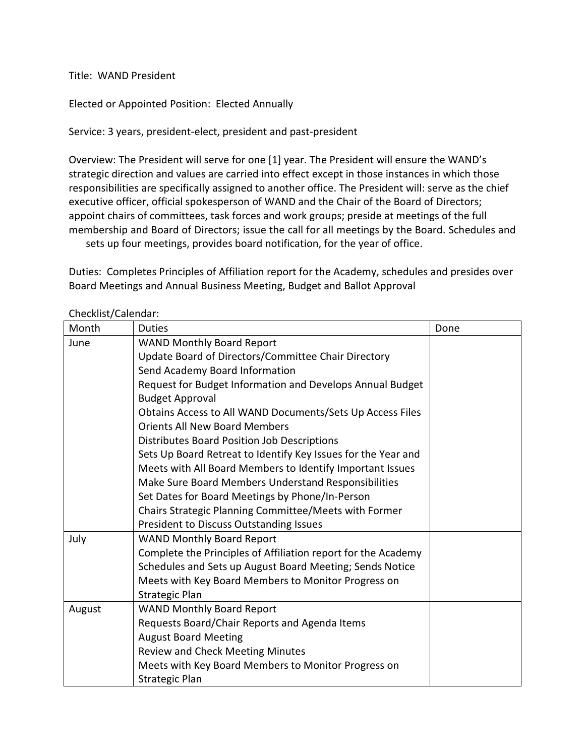Title: WAND President

Elected or Appointed Position: Elected Annually

Service: 3 years, president-elect, president and past-president

Overview: The President will serve for one [1] year. The President will ensure the WAND's strategic direction and values are carried into effect except in those instances in which those responsibilities are specifically assigned to another office. The President will: serve as the chief executive officer, official spokesperson of WAND and the Chair of the Board of Directors; appoint chairs of committees, task forces and work groups; preside at meetings of the full membership and Board of Directors; issue the call for all meetings by the Board. Schedules and sets up four meetings, provides board notification, for the year of office.

Duties: Completes Principles of Affiliation report for the Academy, schedules and presides over Board Meetings and Annual Business Meeting, Budget and Ballot Approval

| CHECKING COICHUM. |                                                               |      |  |  |
|-------------------|---------------------------------------------------------------|------|--|--|
| Month             | <b>Duties</b>                                                 | Done |  |  |
| June              | <b>WAND Monthly Board Report</b>                              |      |  |  |
|                   | Update Board of Directors/Committee Chair Directory           |      |  |  |
|                   | Send Academy Board Information                                |      |  |  |
|                   | Request for Budget Information and Develops Annual Budget     |      |  |  |
|                   | <b>Budget Approval</b>                                        |      |  |  |
|                   | Obtains Access to All WAND Documents/Sets Up Access Files     |      |  |  |
|                   | <b>Orients All New Board Members</b>                          |      |  |  |
|                   | Distributes Board Position Job Descriptions                   |      |  |  |
|                   | Sets Up Board Retreat to Identify Key Issues for the Year and |      |  |  |
|                   | Meets with All Board Members to Identify Important Issues     |      |  |  |
|                   | Make Sure Board Members Understand Responsibilities           |      |  |  |
|                   | Set Dates for Board Meetings by Phone/In-Person               |      |  |  |
|                   | Chairs Strategic Planning Committee/Meets with Former         |      |  |  |
|                   | President to Discuss Outstanding Issues                       |      |  |  |
| July              | <b>WAND Monthly Board Report</b>                              |      |  |  |
|                   | Complete the Principles of Affiliation report for the Academy |      |  |  |
|                   | Schedules and Sets up August Board Meeting; Sends Notice      |      |  |  |
|                   | Meets with Key Board Members to Monitor Progress on           |      |  |  |
|                   | Strategic Plan                                                |      |  |  |
| August            | <b>WAND Monthly Board Report</b>                              |      |  |  |
|                   | Requests Board/Chair Reports and Agenda Items                 |      |  |  |
|                   | <b>August Board Meeting</b>                                   |      |  |  |
|                   | <b>Review and Check Meeting Minutes</b>                       |      |  |  |
|                   | Meets with Key Board Members to Monitor Progress on           |      |  |  |
|                   | <b>Strategic Plan</b>                                         |      |  |  |

Checklist/Calendar: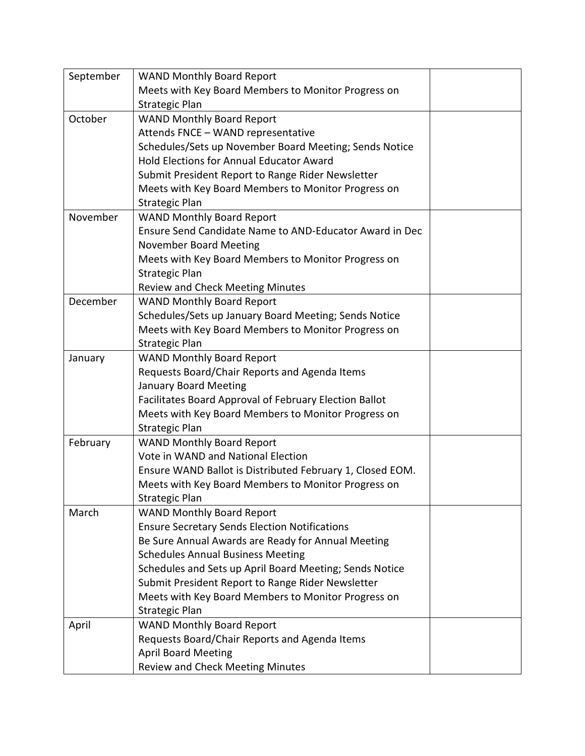| September | <b>WAND Monthly Board Report</b>                          |  |
|-----------|-----------------------------------------------------------|--|
|           | Meets with Key Board Members to Monitor Progress on       |  |
|           | <b>Strategic Plan</b>                                     |  |
| October   | <b>WAND Monthly Board Report</b>                          |  |
|           | Attends FNCE - WAND representative                        |  |
|           | Schedules/Sets up November Board Meeting; Sends Notice    |  |
|           | <b>Hold Elections for Annual Educator Award</b>           |  |
|           | Submit President Report to Range Rider Newsletter         |  |
|           | Meets with Key Board Members to Monitor Progress on       |  |
|           | Strategic Plan                                            |  |
| November  | <b>WAND Monthly Board Report</b>                          |  |
|           | Ensure Send Candidate Name to AND-Educator Award in Dec   |  |
|           | November Board Meeting                                    |  |
|           | Meets with Key Board Members to Monitor Progress on       |  |
|           | <b>Strategic Plan</b>                                     |  |
|           | Review and Check Meeting Minutes                          |  |
| December  | <b>WAND Monthly Board Report</b>                          |  |
|           | Schedules/Sets up January Board Meeting; Sends Notice     |  |
|           | Meets with Key Board Members to Monitor Progress on       |  |
|           | <b>Strategic Plan</b>                                     |  |
| January   | <b>WAND Monthly Board Report</b>                          |  |
|           | Requests Board/Chair Reports and Agenda Items             |  |
|           | January Board Meeting                                     |  |
|           | Facilitates Board Approval of February Election Ballot    |  |
|           | Meets with Key Board Members to Monitor Progress on       |  |
|           | <b>Strategic Plan</b>                                     |  |
| February  | <b>WAND Monthly Board Report</b>                          |  |
|           | Vote in WAND and National Election                        |  |
|           | Ensure WAND Ballot is Distributed February 1, Closed EOM. |  |
|           | Meets with Key Board Members to Monitor Progress on       |  |
|           | Strategic Plan                                            |  |
| March     | <b>WAND Monthly Board Report</b>                          |  |
|           | <b>Ensure Secretary Sends Election Notifications</b>      |  |
|           | Be Sure Annual Awards are Ready for Annual Meeting        |  |
|           | <b>Schedules Annual Business Meeting</b>                  |  |
|           | Schedules and Sets up April Board Meeting; Sends Notice   |  |
|           | Submit President Report to Range Rider Newsletter         |  |
|           | Meets with Key Board Members to Monitor Progress on       |  |
|           | <b>Strategic Plan</b>                                     |  |
| April     | <b>WAND Monthly Board Report</b>                          |  |
|           | Requests Board/Chair Reports and Agenda Items             |  |
|           | <b>April Board Meeting</b>                                |  |
|           | Review and Check Meeting Minutes                          |  |